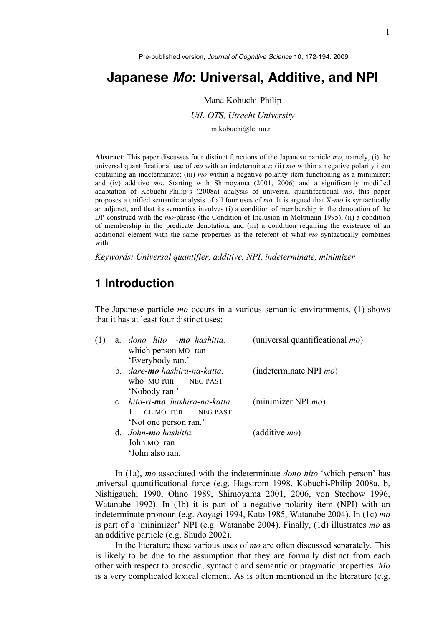Pre-published version, *Journal of Cognitive Science* 10, 172-194. 2009.

# **Japanese** *Mo***: Universal, Additive, and NPI**

Mana Kobuchi-Philip *UiL-OTS, Utrecht University* m.kobuchi@let.uu.nl

**Abstract**: This paper discusses four distinct functions of the Japanese particle *mo*, namely, (i) the universal quantificational use of *mo* with an indeterminate; (ii) *mo* within a negative polarity item containing an indeterminate; (iii) *mo* within a negative polarity item functioning as a minimizer; and (iv) additive *mo*. Starting with Shimoyama (2001, 2006) and a significantly modified adaptation of Kobuchi-Philip's (2008a) analysis of universal quantifcational *mo*, this paper proposes a unified semantic analysis of all four uses of *mo*. It is argued that X-*mo* is syntactically an adjunct, and that its semantics involves (i) a condition of membership in the denotation of the DP construed with the *mo*-phrase (the Condition of Inclusion in Moltmann 1995), (ii) a condition of membership in the predicate denotation, and (iii) a condition requiring the existence of an additional element with the same properties as the referent of what *mo* syntactically combines with.

*Keywords: Universal quantifier, additive, NPI, indeterminate, minimizer* 

## **1 Introduction**

The Japanese particle *mo* occurs in a various semantic environments. (1) shows that it has at least four distinct uses:

| (1) | a. dono hito -mo hashitta.<br>which person MO ran | (universal quantificational $mo$ ) |
|-----|---------------------------------------------------|------------------------------------|
|     | 'Everybody ran.'                                  |                                    |
|     | b. dare-mo hashira-na-katta.                      | (indeterminate NPI $mo$ )          |
|     | who MO run NEG PAST                               |                                    |
|     | 'Nobody ran.'                                     |                                    |
|     | c. hito-ri-mo hashira-na-katta.                   | (minimizer NPI $mo$ )              |
|     | NEG PAST<br>$CLMO$ run                            |                                    |
|     | 'Not one person ran.'                             |                                    |
|     | d. John-mo hashitta.                              | (additive <i>mo</i> )              |
|     | John MO ran                                       |                                    |
|     | 'John also ran.                                   |                                    |

In (1a), *mo* associated with the indeterminate *dono hito* 'which person' has universal quantificational force (e.g. Hagstrom 1998, Kobuchi-Philip 2008a, b, Nishigauchi 1990, Ohno 1989, Shimoyama 2001, 2006, von Stechow 1996, Watanabe 1992). In (1b) it is part of a negative polarity item (NPI) with an indeterminate pronoun (e.g. Aoyagi 1994, Kato 1985, Watanabe 2004). In (1c) *mo* is part of a 'minimizer' NPI (e.g. Watanabe 2004). Finally, (1d) illustrates *mo* as an additive particle (e.g. Shudo 2002).

In the literature these various uses of *mo* are often discussed separately. This is likely to be due to the assumption that they are formally distinct from each other with respect to prosodic, syntactic and semantic or pragmatic properties. *Mo* is a very complicated lexical element. As is often mentioned in the literature (e.g.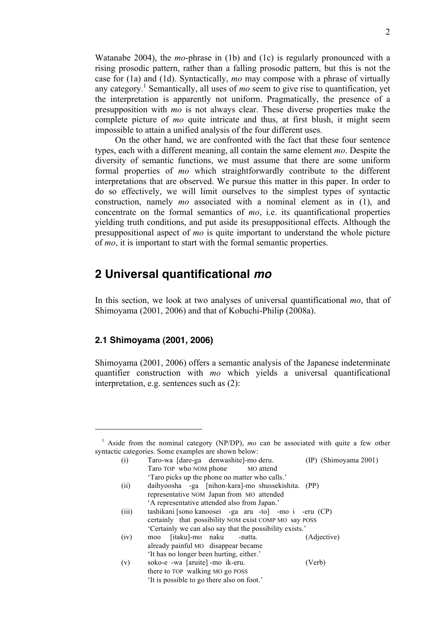Watanabe 2004), the *mo*-phrase in (1b) and (1c) is regularly pronounced with a rising prosodic pattern, rather than a falling prosodic pattern, but this is not the case for (1a) and (1d). Syntactically, *mo* may compose with a phrase of virtually any category. <sup>1</sup> Semantically, all uses of *mo* seem to give rise to quantification, yet the interpretation is apparently not uniform. Pragmatically, the presence of a presupposition with *mo* is not always clear. These diverse properties make the complete picture of *mo* quite intricate and thus, at first blush, it might seem impossible to attain a unified analysis of the four different uses.

On the other hand, we are confronted with the fact that these four sentence types, each with a different meaning, all contain the same element *mo*. Despite the diversity of semantic functions, we must assume that there are some uniform formal properties of *mo* which straightforwardly contribute to the different interpretations that are observed. We pursue this matter in this paper. In order to do so effectively, we will limit ourselves to the simplest types of syntactic construction, namely *mo* associated with a nominal element as in (1), and concentrate on the formal semantics of *mo*, i.e. its quantificational properties yielding truth conditions, and put aside its presuppositional effects. Although the presuppositional aspect of *mo* is quite important to understand the whole picture of *mo*, it is important to start with the formal semantic properties.

## **2 Universal quantificational** *mo*

In this section, we look at two analyses of universal quantificational *mo*, that of Shimoyama (2001, 2006) and that of Kobuchi-Philip (2008a).

### **2.1 Shimoyama (2001, 2006)**

 $\overline{a}$ 

Shimoyama (2001, 2006) offers a semantic analysis of the Japanese indeterminate quantifier construction with *mo* which yields a universal quantificational interpretation, e.g. sentences such as (2):

<sup>&</sup>lt;sup>1</sup> Aside from the nominal category (NP/DP), mo can be associated with quite a few other syntactic categories. Some examples are shown below:

|  | (i)   | Taro-wa [dare-ga denwashite]-mo deru.                  | (IP) (Shimoyama 2001) |
|--|-------|--------------------------------------------------------|-----------------------|
|  |       | Taro TOP who NOM phone MO attend                       |                       |
|  |       | 'Taro picks up the phone no matter who calls.'         |                       |
|  | (ii)  | daihyoosha -ga [nihon-kara]-mo shussekishita. (PP)     |                       |
|  |       | representative NOM Japan from MO attended              |                       |
|  |       | 'A representative attended also from Japan.'           |                       |
|  | (iii) | tashikani [sono kanoosei -ga aru -to] -mo i -eru (CP)  |                       |
|  |       | certainly that possibility NOM exist COMP MO say POSS  |                       |
|  |       | Certainly we can also say that the possibility exists. |                       |
|  | (iv)  | [itaku]-mo naku<br>-natta.<br>moo                      | (Adjective)           |
|  |       | already painful MO disappear became                    |                       |
|  |       | 'It has no longer been hurting, either.'               |                       |
|  | (v)   | soko-e -wa [aruite] -mo ik-eru.                        | (Verb)                |
|  |       | there to TOP walking MO go POSS                        |                       |
|  |       | 'It is possible to go there also on foot.'             |                       |
|  |       |                                                        |                       |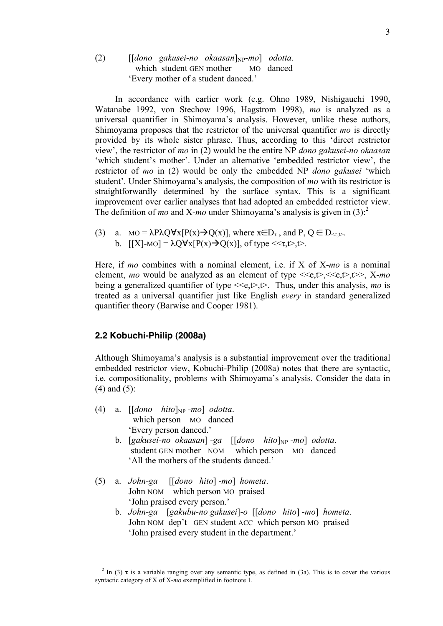### $(2)$  [[*dono gakusei-no okaasan*]<sub>NP</sub>-mo] *odotta*. which student GEN mother MO danced 'Every mother of a student danced.'

In accordance with earlier work (e.g. Ohno 1989, Nishigauchi 1990, Watanabe 1992, von Stechow 1996, Hagstrom 1998), *mo* is analyzed as a universal quantifier in Shimoyama's analysis. However, unlike these authors, Shimoyama proposes that the restrictor of the universal quantifier *mo* is directly provided by its whole sister phrase. Thus, according to this 'direct restrictor view', the restrictor of *mo* in (2) would be the entire NP *dono gakusei-no okaasan* 'which student's mother'. Under an alternative 'embedded restrictor view', the restrictor of *mo* in (2) would be only the embedded NP *dono gakusei* 'which student'. Under Shimoyama's analysis, the composition of *mo* with its restrictor is straightforwardly determined by the surface syntax. This is a significant improvement over earlier analyses that had adopted an embedded restrictor view. The definition of *mo* and X-*mo* under Shimoyama's analysis is given in  $(3)$ :

(3) a. MO =  $\lambda P \lambda Q \forall x [P(x) \rightarrow Q(x)]$ , where  $x \in D_{\tau}$ , and P,  $Q \in D_{\leq \tau}$ . b.  $[[X]-MO] = \lambda Q \forall x [P(x) \rightarrow Q(x)]$ , of type <<  $\tau$ ,  $t$ ,  $\Rightarrow$ .

Here, if *mo* combines with a nominal element, i.e. if X of X-*mo* is a nominal element, *mo* would be analyzed as an element of type  $\langle\langle e,t\rangle,\langle\langle e,t\rangle\rangle, X-mo$ being a generalized quantifier of type  $\leq \epsilon, t$ , Thus, under this analysis, *mo* is treated as a universal quantifier just like English *every* in standard generalized quantifier theory (Barwise and Cooper 1981).

### **2.2 Kobuchi-Philip (2008a)**

Although Shimoyama's analysis is a substantial improvement over the traditional embedded restrictor view, Kobuchi-Philip (2008a) notes that there are syntactic, i.e. compositionality, problems with Shimoyama's analysis. Consider the data in (4) and (5):

(4) a.  $[[dono \; hito]_{NP}$ -mo] *odotta*. which person MO danced 'Every person danced.'

- b. [gakusei-no okaasan] -ga [[dono hito]<sub>NP</sub> -mo] odotta. student GEN mother NOM which person MO danced 'All the mothers of the students danced.'
- (5) a. *John-ga* [[*dono hito*] -*mo*] *hometa*. John NOM which person MO praised 'John praised every person.'
	- b. *John-ga* [*gakubu-no gakusei*]-*o* [[*dono hito*] -*mo*] *hometa*. John NOM dep't GEN student ACC which person MO praised 'John praised every student in the department.'

<sup>&</sup>lt;sup>2</sup> In (3)  $\tau$  is a variable ranging over any semantic type, as defined in (3a). This is to cover the various syntactic category of X of X-*mo* exemplified in footnote 1.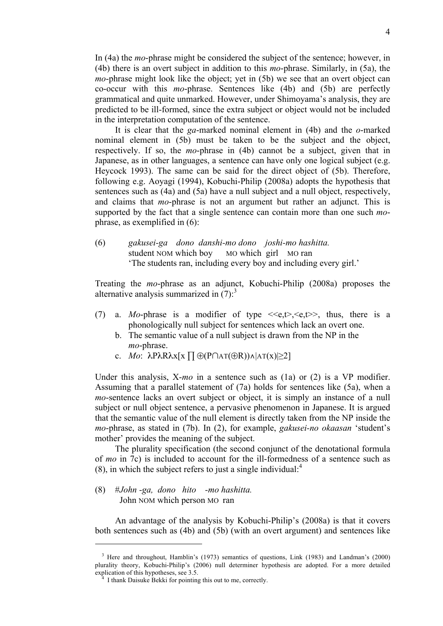In (4a) the *mo*-phrase might be considered the subject of the sentence; however, in (4b) there is an overt subject in addition to this *mo*-phrase. Similarly, in (5a), the *mo*-phrase might look like the object; yet in (5b) we see that an overt object can co-occur with this *mo*-phrase. Sentences like (4b) and (5b) are perfectly grammatical and quite unmarked. However, under Shimoyama's analysis, they are predicted to be ill-formed, since the extra subject or object would not be included in the interpretation computation of the sentence.

It is clear that the *ga*-marked nominal element in (4b) and the *o*-marked nominal element in (5b) must be taken to be the subject and the object, respectively. If so, the *mo*-phrase in (4b) cannot be a subject, given that in Japanese, as in other languages, a sentence can have only one logical subject (e.g. Heycock 1993). The same can be said for the direct object of (5b). Therefore, following e.g. Aoyagi (1994), Kobuchi-Philip (2008a) adopts the hypothesis that sentences such as (4a) and (5a) have a null subject and a null object, respectively, and claims that *mo*-phrase is not an argument but rather an adjunct. This is supported by the fact that a single sentence can contain more than one such *mo*phrase, as exemplified in (6):

(6) *gakusei-ga dono danshi-mo dono joshi-mo hashitta.* student NOM which boy MO which girl MO ran 'The students ran, including every boy and including every girl.'

Treating the *mo*-phrase as an adjunct, Kobuchi-Philip (2008a) proposes the alternative analysis summarized in  $(7)$ :<sup>3</sup>

- (7) a. *Mo*-phrase is a modifier of type  $\langle\langle e,t\rangle,\langle e,t\rangle\rangle$ , thus, there is a phonologically null subject for sentences which lack an overt one.
	- b. The semantic value of a null subject is drawn from the NP in the *mo*-phrase.
	- c. *Mo*: λPλRλx[x ∏ ⊕(P∩AT(⊕R))∧|AT(x)|≥2]

Under this analysis, X-*mo* in a sentence such as (1a) or (2) is a VP modifier. Assuming that a parallel statement of (7a) holds for sentences like (5a), when a *mo*-sentence lacks an overt subject or object, it is simply an instance of a null subject or null object sentence, a pervasive phenomenon in Japanese. It is argued that the semantic value of the null element is directly taken from the NP inside the *mo*-phrase, as stated in (7b). In (2), for example, *gakusei-no okaasan* 'student's mother' provides the meaning of the subject.

The plurality specification (the second conjunct of the denotational formula of *mo* in 7c) is included to account for the ill-formedness of a sentence such as (8), in which the subject refers to just a single individual: $4$ 

(8) #*John -ga, dono hito -mo hashitta.* John NOM which person MO ran

 $\overline{a}$ 

An advantage of the analysis by Kobuchi-Philip's (2008a) is that it covers both sentences such as (4b) and (5b) (with an overt argument) and sentences like

<sup>&</sup>lt;sup>3</sup> Here and throughout, Hamblin's (1973) semantics of questions, Link (1983) and Landman's (2000) plurality theory, Kobuchi-Philip's (2006) null determiner hypothesis are adopted. For a more detailed explication of this hypotheses, see 3.5.

I thank Daisuke Bekki for pointing this out to me, correctly.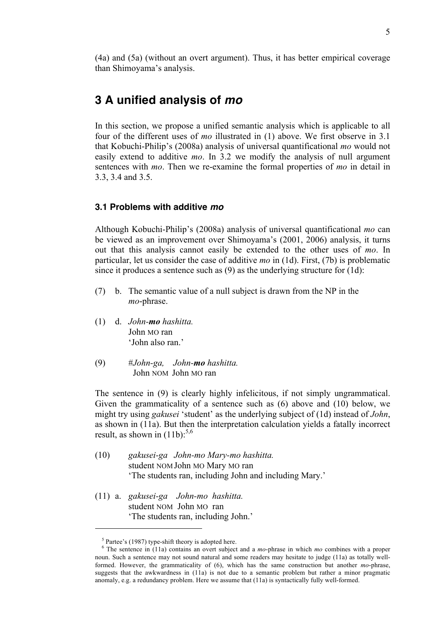(4a) and (5a) (without an overt argument). Thus, it has better empirical coverage than Shimoyama's analysis.

## **3 A unified analysis of** *mo*

In this section, we propose a unified semantic analysis which is applicable to all four of the different uses of *mo* illustrated in (1) above. We first observe in 3.1 that Kobuchi-Philip's (2008a) analysis of universal quantificational *mo* would not easily extend to additive *mo*. In 3.2 we modify the analysis of null argument sentences with *mo*. Then we re-examine the formal properties of *mo* in detail in 3.3, 3.4 and 3.5.

### **3.1 Problems with additive** *mo*

Although Kobuchi-Philip's (2008a) analysis of universal quantificational *mo* can be viewed as an improvement over Shimoyama's (2001, 2006) analysis, it turns out that this analysis cannot easily be extended to the other uses of *mo*. In particular, let us consider the case of additive *mo* in (1d). First, (7b) is problematic since it produces a sentence such as (9) as the underlying structure for (1d):

- (7) b. The semantic value of a null subject is drawn from the NP in the *mo*-phrase.
- (1) d. *John-mo hashitta.* John MO ran 'John also ran'
- (9) #*John-ga, John-mo hashitta.* John NOM John MO ran

The sentence in (9) is clearly highly infelicitous, if not simply ungrammatical. Given the grammaticality of a sentence such as (6) above and (10) below, we might try using *gakusei* 'student' as the underlying subject of (1d) instead of *John*, as shown in (11a). But then the interpretation calculation yields a fatally incorrect result, as shown in  $(11b)$ :<sup>5,6</sup>

- (10) *gakusei-ga John-mo Mary-mo hashitta.* student NOM John MO Mary MO ran 'The students ran, including John and including Mary.'
- (11) a. *gakusei-ga John-mo hashitta.* student NOM John MO ran 'The students ran, including John.'

 $5$  Partee's (1987) type-shift theory is adopted here.<br> $6$  The sentence in (11a) contains an overt subject and a *mo*-phrase in which *mo* combines with a proper noun. Such a sentence may not sound natural and some readers may hesitate to judge (11a) as totally wellformed. However, the grammaticality of (6), which has the same construction but another *mo*-phrase, suggests that the awkwardness in (11a) is not due to a semantic problem but rather a minor pragmatic anomaly, e.g. a redundancy problem. Here we assume that (11a) is syntactically fully well-formed.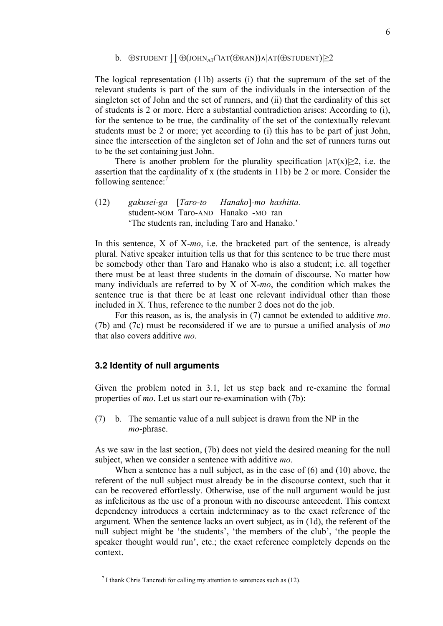#### b. ⊕STUDENT  $\prod \bigoplus (JOHN_{AT} \cap AT(\bigoplus RAN)) \wedge |AT(\bigoplus STUDENT)| \geq 2$

The logical representation (11b) asserts (i) that the supremum of the set of the relevant students is part of the sum of the individuals in the intersection of the singleton set of John and the set of runners, and (ii) that the cardinality of this set of students is 2 or more. Here a substantial contradiction arises: According to (i), for the sentence to be true, the cardinality of the set of the contextually relevant students must be 2 or more; yet according to (i) this has to be part of just John, since the intersection of the singleton set of John and the set of runners turns out to be the set containing just John.

There is another problem for the plurality specification  $|AT(x)| \geq 2$ , i.e. the assertion that the cardinality of x (the students in 11b) be 2 or more. Consider the following sentence:7

(12) *gakusei-ga* [*Taro-to Hanako*]*-mo hashitta.* student-NOM Taro-AND Hanako -MO ran 'The students ran, including Taro and Hanako.'

In this sentence, X of X-*mo*, i.e. the bracketed part of the sentence, is already plural. Native speaker intuition tells us that for this sentence to be true there must be somebody other than Taro and Hanako who is also a student; i.e. all together there must be at least three students in the domain of discourse. No matter how many individuals are referred to by X of X-*mo*, the condition which makes the sentence true is that there be at least one relevant individual other than those included in X. Thus, reference to the number 2 does not do the job.

For this reason, as is, the analysis in (7) cannot be extended to additive *mo*. (7b) and (7c) must be reconsidered if we are to pursue a unified analysis of *mo* that also covers additive *mo*.

#### **3.2 Identity of null arguments**

 $\overline{a}$ 

Given the problem noted in 3.1, let us step back and re-examine the formal properties of *mo*. Let us start our re-examination with (7b):

(7) b. The semantic value of a null subject is drawn from the NP in the *mo*-phrase.

As we saw in the last section, (7b) does not yield the desired meaning for the null subject, when we consider a sentence with additive *mo*.

When a sentence has a null subject, as in the case of (6) and (10) above, the referent of the null subject must already be in the discourse context, such that it can be recovered effortlessly. Otherwise, use of the null argument would be just as infelicitous as the use of a pronoun with no discourse antecedent. This context dependency introduces a certain indeterminacy as to the exact reference of the argument. When the sentence lacks an overt subject, as in (1d), the referent of the null subject might be 'the students', 'the members of the club', 'the people the speaker thought would run', etc.; the exact reference completely depends on the context.

 $<sup>7</sup>$  I thank Chris Tancredi for calling my attention to sentences such as (12).</sup>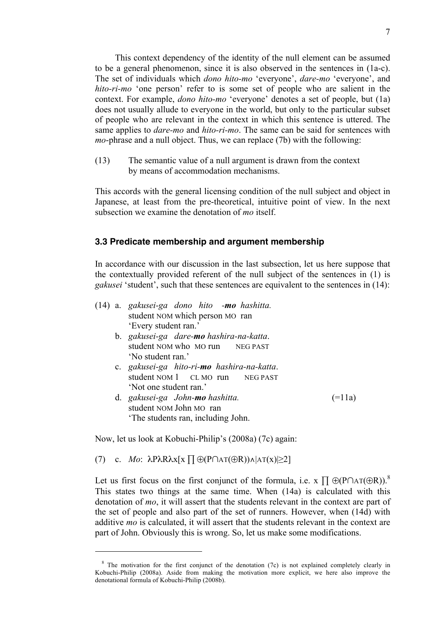This context dependency of the identity of the null element can be assumed to be a general phenomenon, since it is also observed in the sentences in (1a-c). The set of individuals which *dono hito-mo* 'everyone', *dare-mo* 'everyone', and *hito-ri-mo* 'one person' refer to is some set of people who are salient in the context. For example, *dono hito-mo* 'everyone' denotes a set of people, but (1a) does not usually allude to everyone in the world, but only to the particular subset of people who are relevant in the context in which this sentence is uttered. The same applies to *dare-mo* and *hito-ri-mo*. The same can be said for sentences with *mo*-phrase and a null object. Thus, we can replace (7b) with the following:

(13) The semantic value of a null argument is drawn from the context by means of accommodation mechanisms.

This accords with the general licensing condition of the null subject and object in Japanese, at least from the pre-theoretical, intuitive point of view. In the next subsection we examine the denotation of *mo* itself.

#### **3.3 Predicate membership and argument membership**

In accordance with our discussion in the last subsection, let us here suppose that the contextually provided referent of the null subject of the sentences in (1) is *gakusei* 'student', such that these sentences are equivalent to the sentences in (14):

|  |  | (14) a. gakusei-ga dono hito - <b>mo</b> hashitta. |                       |  |  |
|--|--|----------------------------------------------------|-----------------------|--|--|
|  |  |                                                    |                       |  |  |
|  |  | 'Every student ran.'                               |                       |  |  |
|  |  | b. gakusei-ga dare- <b>mo</b> hashira-na-katta.    |                       |  |  |
|  |  | student NOM who MO run NEG PAST                    |                       |  |  |
|  |  | 'No student ran.'                                  |                       |  |  |
|  |  | c. gakusei-ga hito-ri-mo hashira-na-katta.         |                       |  |  |
|  |  | student NOM 1 CL MO run NEG PAST                   |                       |  |  |
|  |  | 'Not one student ran.'                             |                       |  |  |
|  |  | d. gakusei-ga John-mo hashitta.                    | $(=\vert \, \vert a)$ |  |  |
|  |  | student NOM John MO ran                            |                       |  |  |
|  |  | The students ran, including John.                  |                       |  |  |
|  |  |                                                    |                       |  |  |

Now, let us look at Kobuchi-Philip's (2008a) (7c) again:

(7) c. *Mo*: λPλRλx[x ∏ ⊕(P∩AT(⊕R))∧|AT(x)|≥2]

 $\overline{a}$ 

Let us first focus on the first conjunct of the formula, i.e.  $X \prod \Theta(P \cap AT(\Theta R))$ . This states two things at the same time. When (14a) is calculated with this denotation of *mo*, it will assert that the students relevant in the context are part of the set of people and also part of the set of runners. However, when (14d) with additive *mo* is calculated, it will assert that the students relevant in the context are part of John. Obviously this is wrong. So, let us make some modifications.

<sup>&</sup>lt;sup>8</sup> The motivation for the first conjunct of the denotation (7c) is not explained completely clearly in Kobuchi-Philip (2008a). Aside from making the motivation more explicit, we here also improve the denotational formula of Kobuchi-Philip (2008b).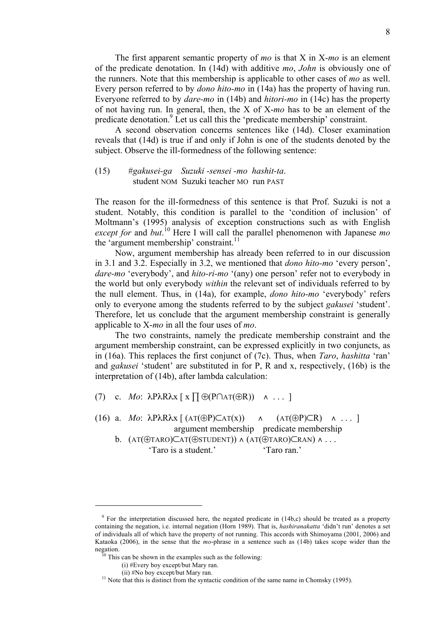The first apparent semantic property of *mo* is that X in X-*mo* is an element of the predicate denotation. In (14d) with additive *mo*, *John* is obviously one of the runners. Note that this membership is applicable to other cases of *mo* as well. Every person referred to by *dono hito-mo* in (14a) has the property of having run. Everyone referred to by *dare-mo* in (14b) and *hitori-mo* in (14c) has the property of not having run. In general, then, the X of X-*mo* has to be an element of the predicate denotation.<sup>9</sup> Let us call this the 'predicate membership' constraint.

A second observation concerns sentences like (14d). Closer examination reveals that (14d) is true if and only if John is one of the students denoted by the subject. Observe the ill-formedness of the following sentence:

#### (15) #*gakusei-ga Suzuki -sensei -mo hashit-ta*. student NOM Suzuki teacher MO run PAST

The reason for the ill-formedness of this sentence is that Prof. Suzuki is not a student. Notably, this condition is parallel to the 'condition of inclusion' of Moltmann's (1995) analysis of exception constructions such as with English *except for* and *but*. <sup>10</sup> Here I will call the parallel phenomenon with Japanese *mo* the 'argument membership' constraint.<sup>11</sup>

Now, argument membership has already been referred to in our discussion in 3.1 and 3.2. Especially in 3.2, we mentioned that *dono hito-mo* 'every person', *dare-mo* 'everybody', and *hito-ri-mo* '(any) one person' refer not to everybody in the world but only everybody *within* the relevant set of individuals referred to by the null element. Thus, in (14a), for example, *dono hito-mo* 'everybody' refers only to everyone among the students referred to by the subject *gakusei* 'student'. Therefore, let us conclude that the argument membership constraint is generally applicable to X-*mo* in all the four uses of *mo*.

The two constraints, namely the predicate membership constraint and the argument membership constraint, can be expressed explicitly in two conjuncts, as in (16a). This replaces the first conjunct of (7c). Thus, when *Taro*, *hashitta* 'ran' and *gakusei* 'student' are substituted in for P, R and x, respectively, (16b) is the interpretation of (14b), after lambda calculation:

(7) c. *Mo*: λPλRλx [ x ∏ ⊕(P∩AT(⊕R)) ∧ . . . ]

(16) a. *Mo*: λPλRλx [ (AT(⊕P)⊂AT(x)) ∧ (AT(⊕P)⊂R) ∧ . . . ] argument membership predicate membership b. (AT(⊕TARO)⊂AT(⊕STUDENT)) ∧ (AT(⊕TARO)⊂RAN) ∧ . . .

'Taro is a student.' 'Taro ran.'

<sup>&</sup>lt;sup>9</sup> For the interpretation discussed here, the negated predicate in (14b,c) should be treated as a property containing the negation, i.e. internal negation (Horn 1989). That is, *hashiranakatta* 'didn't run' denotes a set of individuals all of which have the property of not running. This accords with Shimoyama (2001, 2006) and Kataoka (2006), in the sense that the *mo*-phrase in a sentence such as (14b) takes scope wider than the negation.

This can be shown in the examples such as the following:

<sup>(</sup>i) #Every boy except/but Mary ran.

<sup>(</sup>ii) #No boy except/but Mary ran.<br><sup>11</sup> Note that this is distinct from the syntactic condition of the same name in Chomsky (1995).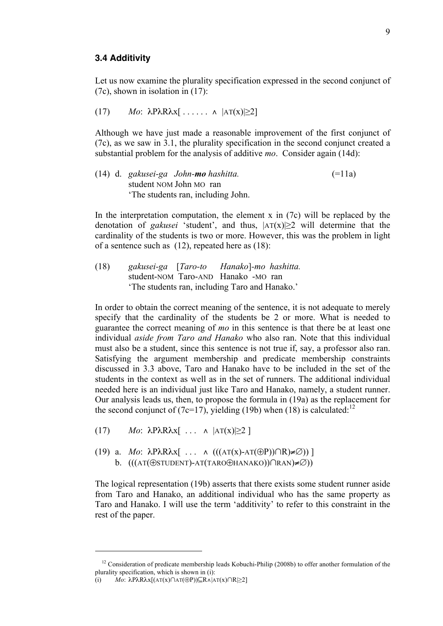#### **3.4 Additivity**

Let us now examine the plurality specification expressed in the second conjunct of (7c), shown in isolation in (17):

(17) 
$$
Mo: \ \lambda P \lambda R \lambda x
$$
  $\ldots \lambda |\mathbf{AT}(x)| \geq 2$ 

Although we have just made a reasonable improvement of the first conjunct of (7c), as we saw in 3.1, the plurality specification in the second conjunct created a substantial problem for the analysis of additive *mo*. Consider again (14d):

(14) d. *gakusei-ga John-mo hashitta.* (=11a) student NOM John MO ran 'The students ran, including John.

In the interpretation computation, the element  $x$  in (7c) will be replaced by the denotation of *gakusei* 'student', and thus,  $|AT(x)| \ge 2$  will determine that the cardinality of the students is two or more. However, this was the problem in light of a sentence such as (12), repeated here as (18):

(18) *gakusei-ga* [*Taro-to Hanako*]*-mo hashitta.* student-NOM Taro-AND Hanako -MO ran 'The students ran, including Taro and Hanako.'

In order to obtain the correct meaning of the sentence, it is not adequate to merely specify that the cardinality of the students be 2 or more. What is needed to guarantee the correct meaning of *mo* in this sentence is that there be at least one individual *aside from Taro and Hanako* who also ran. Note that this individual must also be a student, since this sentence is not true if, say, a professor also ran. Satisfying the argument membership and predicate membership constraints discussed in 3.3 above, Taro and Hanako have to be included in the set of the students in the context as well as in the set of runners. The additional individual needed here is an individual just like Taro and Hanako, namely, a student runner. Our analysis leads us, then, to propose the formula in (19a) as the replacement for the second conjunct of (7c=17), yielding (19b) when (18) is calculated:<sup>12</sup>

- (17) *Mo*:  $\lambda P \lambda R \lambda x$ [ ...  $\lambda$  |AT(x)|>2 ]
- (19) a. *Mo*: λPλRλx[ . . . ∧ (((AT(x)-AT(⊕P))∩R)≠∅)) ] b. (((AT(⊕STUDENT)-AT(TARO⊕HANAKO))∩RAN)≠∅))

The logical representation (19b) asserts that there exists some student runner aside from Taro and Hanako, an additional individual who has the same property as Taro and Hanako. I will use the term 'additivity' to refer to this constraint in the rest of the paper.

 $12$  Consideration of predicate membership leads Kobuchi-Philip (2008b) to offer another formulation of the plurality specification, which is shown in  $(i)$ :

<sup>(</sup>i) *Mo*: λPλRλx[(AT(x)∩AT(⊕P))⊆R∧|AT(x)∩R|≥2]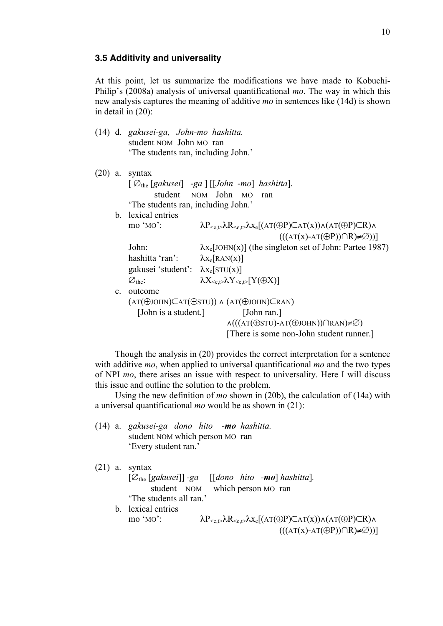#### **3.5 Additivity and universality**

At this point, let us summarize the modifications we have made to Kobuchi-Philip's (2008a) analysis of universal quantificational *mo*. The way in which this new analysis captures the meaning of additive *mo* in sentences like (14d) is shown in detail in (20):

- (14) d. *gakusei-ga, John-mo hashitta.* student NOM John MO ran 'The students ran, including John.'
- (20) a. syntax [ ∅the [*gakusei*] -*ga* ] [[*John* -*mo*] *hashitta*]. student NOM John MO ran 'The students ran, including John.' b. lexical entries mo 'MO':  $\lambda P_{\leq c,\uparrow} \lambda R_{\leq c,\uparrow} \lambda x_c [(AT(\oplus P) \subset AT(x)) \wedge (AT(\oplus P) \subset R) \wedge$  $(((AT(x)-AT(\oplus P))\cap R)\neq\emptyset))]$ John:  $\lambda x_e$ [JOHN(x)] (the singleton set of John: Partee 1987) hashitta 'ran':  $\lambda x_e [RAN(x)]$ gakusei 'student':  $\lambda x_e$ [STU(x)]  $\varnothing_{the}: \qquad \qquad \lambda X_{\leq e,t} \lambda Y_{\leq e,t} [Y(\oplus X)]$ c. outcome (AT(⊕JOHN)⊂AT(⊕STU)) ∧ (AT(⊕JOHN)⊂RAN) [John is a student.] [John ran.] ∧(((AT(⊕STU)-AT(⊕JOHN))∩RAN)≠∅) [There is some non-John student runner.]

Though the analysis in (20) provides the correct interpretation for a sentence with additive *mo*, when applied to universal quantificational *mo* and the two types of NPI *mo*, there arises an issue with respect to universality. Here I will discuss this issue and outline the solution to the problem.

Using the new definition of *mo* shown in (20b), the calculation of (14a) with a universal quantificational *mo* would be as shown in (21):

(14) a. *gakusei-ga dono hito -mo hashitta.* student NOM which person MO ran 'Every student ran.'

```
(21) a. syntax
      [∅the [gakusei]] -ga [[dono hito -mo] hashitta].
                 student NOM which person MO ran
      'The students all ran.'
b. lexical entries
      mo 'MO': \lambda P_{\leq e, \mathcal{D}} \lambda R_{\leq e, \mathcal{D}} \lambda x_e[(\mathbf{AT}(\oplus P) \mathbf{C} \mathbf{AT}(x)) \wedge (\mathbf{AT}(\oplus P) \mathbf{C} \mathbf{R}) \wedge((A T(X)-A T(\oplus P)) \cap R \neq \emptyset))
```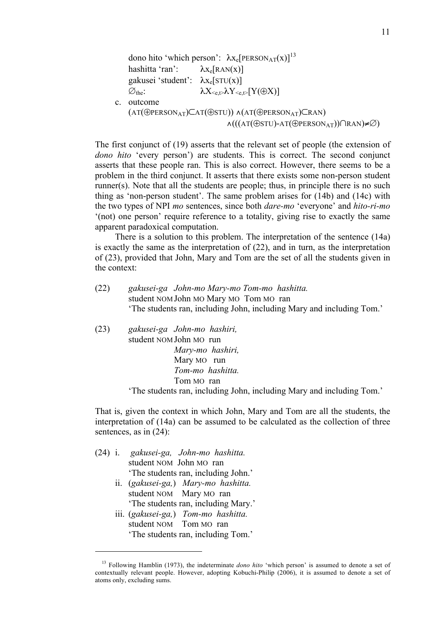dono hito 'which person':  $\lambda x_e[PERSON_{AT}(x)]^{13}$ hashitta 'ran':  $\lambda x_e [RAN(x)]$ gakusei 'student':  $\lambda x_e$ [STU(x)]  $\varnothing_{the}$ :  $\lambda X_{\leq e, t} \lambda Y_{\leq e, t} [Y(\oplus X)]$ c. outcome (AT(⊕PERSONAT)⊂AT(⊕STU)) ∧(AT(⊕PERSONAT)⊂RAN) ∧(((AT(⊕STU)-AT(⊕PERSONAT))∩RAN)≠∅)

The first conjunct of (19) asserts that the relevant set of people (the extension of *dono hito* 'every person') are students. This is correct. The second conjunct asserts that these people ran. This is also correct. However, there seems to be a problem in the third conjunct. It asserts that there exists some non-person student runner(s). Note that all the students are people; thus, in principle there is no such thing as 'non-person student'. The same problem arises for (14b) and (14c) with the two types of NPI *mo* sentences, since both *dare-mo* 'everyone' and *hito-ri-mo* '(not) one person' require reference to a totality, giving rise to exactly the same apparent paradoxical computation.

There is a solution to this problem. The interpretation of the sentence (14a) is exactly the same as the interpretation of (22), and in turn, as the interpretation of (23), provided that John, Mary and Tom are the set of all the students given in the context:

- (22) *gakusei-ga John-mo Mary-mo Tom-mo hashitta.* student NOM John MO Mary MO Tom MO ran 'The students ran, including John, including Mary and including Tom.'
- (23) *gakusei-ga John-mo hashiri,* student NOM John MO run *Mary-mo hashiri,* Mary MO run *Tom-mo hashitta.* Tom MO ran 'The students ran, including John, including Mary and including Tom.'

That is, given the context in which John, Mary and Tom are all the students, the interpretation of (14a) can be assumed to be calculated as the collection of three sentences, as in (24):

(24) i. *gakusei-ga, John-mo hashitta.* student NOM John MO ran 'The students ran, including John.' ii. (*gakusei-ga,*) *Mary-mo hashitta.* student NOM Mary MO ran 'The students ran, including Mary.' iii. (*gakusei-ga,*) *Tom-mo hashitta.* student NOM Tom MO ran 'The students ran, including Tom.'

<sup>&</sup>lt;sup>13</sup> Following Hamblin (1973), the indeterminate *dono hito* 'which person' is assumed to denote a set of contextually relevant people. However, adopting Kobuchi-Philip (2006), it is assumed to denote a set of atoms only, excluding sums.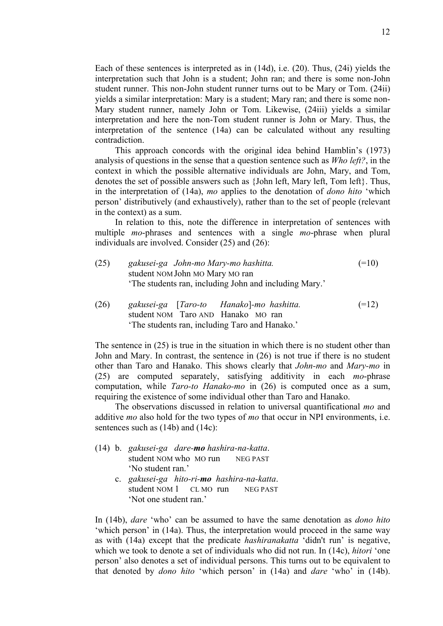Each of these sentences is interpreted as in (14d), i.e. (20). Thus, (24i) yields the interpretation such that John is a student; John ran; and there is some non-John student runner. This non-John student runner turns out to be Mary or Tom. (24ii) yields a similar interpretation: Mary is a student; Mary ran; and there is some non-Mary student runner, namely John or Tom. Likewise, (24iii) yields a similar interpretation and here the non-Tom student runner is John or Mary. Thus, the interpretation of the sentence (14a) can be calculated without any resulting contradiction.

This approach concords with the original idea behind Hamblin's (1973) analysis of questions in the sense that a question sentence such as *Who left?*, in the context in which the possible alternative individuals are John, Mary, and Tom, denotes the set of possible answers such as {John left, Mary left, Tom left}. Thus, in the interpretation of (14a), *mo* applies to the denotation of *dono hito* 'which person' distributively (and exhaustively), rather than to the set of people (relevant in the context) as a sum.

In relation to this, note the difference in interpretation of sentences with multiple *mo*-phrases and sentences with a single *mo*-phrase when plural individuals are involved. Consider (25) and (26):

- (25) *gakusei-ga John-mo Mary-mo hashitta.* (=10) student NOM John MO Mary MO ran 'The students ran, including John and including Mary.'
- (26) *gakusei-ga* [*Taro-to Hanako*]*-mo hashitta.* (=12) student NOM Taro AND Hanako MO ran 'The students ran, including Taro and Hanako.'

The sentence in (25) is true in the situation in which there is no student other than John and Mary. In contrast, the sentence in (26) is not true if there is no student other than Taro and Hanako. This shows clearly that *John-mo* and *Mary-mo* in (25) are computed separately, satisfying additivity in each *mo*-phrase computation, while *Taro-to Hanako-mo* in (26) is computed once as a sum, requiring the existence of some individual other than Taro and Hanako.

The observations discussed in relation to universal quantificational *mo* and additive *mo* also hold for the two types of *mo* that occur in NPI environments, i.e. sentences such as (14b) and (14c):

- (14) b. *gakusei-ga dare-mo hashira-na-katta*. student NOM who MO run NEG PAST 'No student ran.'
	- c. *gakusei-ga hito-ri-mo hashira-na-katta*. student NOM 1 CL MO run NEG PAST 'Not one student ran.'

In (14b), *dare* 'who' can be assumed to have the same denotation as *dono hito*  'which person' in (14a). Thus, the interpretation would proceed in the same way as with (14a) except that the predicate *hashiranakatta* 'didn't run' is negative, which we took to denote a set of individuals who did not run. In (14c), *hitori* 'one person' also denotes a set of individual persons. This turns out to be equivalent to that denoted by *dono hito* 'which person' in (14a) and *dare* 'who' in (14b).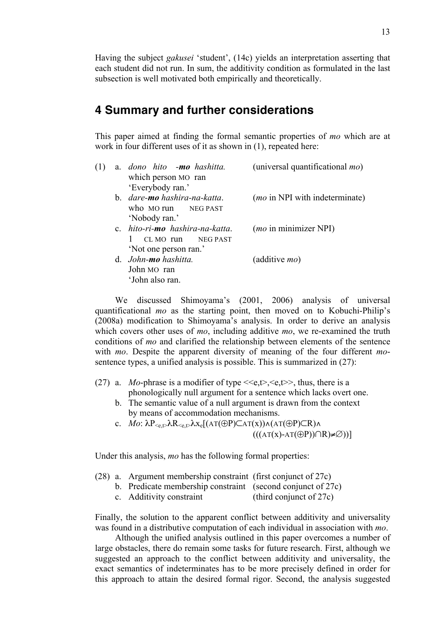Having the subject *gakusei* 'student', (14c) yields an interpretation asserting that each student did not run. In sum, the additivity condition as formulated in the last subsection is well motivated both empirically and theoretically.

## **4 Summary and further considerations**

This paper aimed at finding the formal semantic properties of *mo* which are at work in four different uses of it as shown in (1), repeated here:

| (1) |                                                        | a. dono hito -mo hashitta.<br>which person MO ran     | (universal quantificational <i>mo</i> ) |
|-----|--------------------------------------------------------|-------------------------------------------------------|-----------------------------------------|
|     | 'Everybody ran.'                                       | b. dare-mo hashira-na-katta.<br>who MO run NEG PAST   | ( <i>mo</i> in NPI with indeterminate)  |
|     | 'Nobody ran.'                                          | c. hito-ri-mo hashira-na-katta.<br>CL MO run NEG PAST | ( <i>mo</i> in minimizer NPI)           |
|     | d. John-mo hashitta.<br>John MO ran<br>'John also ran. | 'Not one person ran.'                                 | (additive <i>mo</i> )                   |

We discussed Shimoyama's (2001, 2006) analysis of universal quantificational *mo* as the starting point, then moved on to Kobuchi-Philip's (2008a) modification to Shimoyama's analysis. In order to derive an analysis which covers other uses of *mo*, including additive *mo*, we re-examined the truth conditions of *mo* and clarified the relationship between elements of the sentence with *mo*. Despite the apparent diversity of meaning of the four different *mo*sentence types, a unified analysis is possible. This is summarized in (27):

- (27) a. *Mo*-phrase is a modifier of type  $\langle e, t \rangle, \langle e, t \rangle$ , thus, there is a phonologically null argument for a sentence which lacks overt one.
	- b. The semantic value of a null argument is drawn from the context by means of accommodation mechanisms.
	- c. *Mo*:  $\lambda P_{\leq e,\uparrow} \lambda R_{\leq e,\uparrow} \lambda x_e[(AT(\oplus P) \square AT(x)) \wedge (AT(\oplus P) \square R) \wedge$  $((A T(X)-A T(\oplus P)) \cap R \neq \emptyset))$

Under this analysis, *mo* has the following formal properties:

- (28) a. Argument membership constraint (first conjunct of 27c)
	- b. Predicate membership constraint (second conjunct of 27c)
	- c. Additivity constraint (third conjunct of 27c)

Finally, the solution to the apparent conflict between additivity and universality was found in a distributive computation of each individual in association with *mo*.

Although the unified analysis outlined in this paper overcomes a number of large obstacles, there do remain some tasks for future research. First, although we suggested an approach to the conflict between additivity and universality, the exact semantics of indeterminates has to be more precisely defined in order for this approach to attain the desired formal rigor. Second, the analysis suggested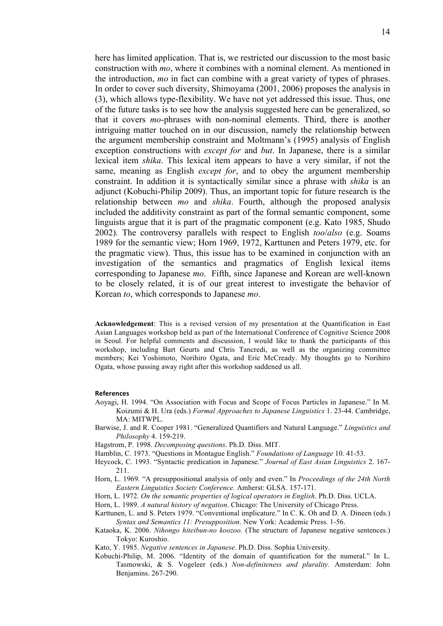here has limited application. That is, we restricted our discussion to the most basic construction with *mo*, where it combines with a nominal element. As mentioned in the introduction, *mo* in fact can combine with a great variety of types of phrases. In order to cover such diversity, Shimoyama (2001, 2006) proposes the analysis in (3), which allows type-flexibility. We have not yet addressed this issue. Thus, one of the future tasks is to see how the analysis suggested here can be generalized, so that it covers *mo*-phrases with non-nominal elements. Third, there is another intriguing matter touched on in our discussion, namely the relationship between the argument membership constraint and Moltmann's (1995) analysis of English exception constructions with *except for* and *but*. In Japanese, there is a similar lexical item *shika*. This lexical item appears to have a very similar, if not the same, meaning as English *except for*, and to obey the argument membership constraint. In addition it is syntactically similar since a phrase with *shika* is an adjunct (Kobuchi-Philip 2009). Thus, an important topic for future research is the relationship between *mo* and *shika*. Fourth, although the proposed analysis included the additivity constraint as part of the formal semantic component, some linguists argue that it is part of the pragmatic component (e.g. Kato 1985, Shudo 2002). The controversy parallels with respect to English *too*/*also* (e.g. Soams 1989 for the semantic view; Horn 1969, 1972, Karttunen and Peters 1979, etc. for the pragmatic view). Thus, this issue has to be examined in conjunction with an investigation of the semantics and pragmatics of English lexical items corresponding to Japanese *mo*. Fifth, since Japanese and Korean are well-known to be closely related, it is of our great interest to investigate the behavior of Korean *to*, which corresponds to Japanese *mo*.

**Acknowledgement**: This is a revised version of my presentation at the Quantification in East Asian Languages workshop held as part of the International Conference of Cognitive Science 2008 in Seoul. For helpful comments and discussion, I would like to thank the participants of this workshop, including Bart Geurts and Chris Tancredi, as well as the organizing committee members; Kei Yoshimoto, Norihiro Ogata, and Eric McCready. My thoughts go to Norihiro Ogata, whose passing away right after this workshop saddened us all.

#### **References**

- Aoyagi, H. 1994. "On Association with Focus and Scope of Focus Particles in Japanese." In M. Koizumi & H. Ura (eds.) *Formal Approaches to Japanese Linguistics* 1. 23-44. Cambridge, MA: MITWPL.
- Barwise, J. and R. Cooper 1981. "Generalized Quantifiers and Natural Language." *Linguistics and Philosophy* 4. 159-219.
- Hagstrom, P. 1998. *Decomposing questions*. Ph.D. Diss. MIT.
- Hamblin, C. 1973. "Questions in Montague English." *Foundations of Language* 10. 41-53.
- Heycock, C. 1993. "Syntactic predication in Japanese." *Journal of East Asian Linguistics* 2. 167- 211.
- Horn, L. 1969. "A presuppositional analysis of only and even." In *Proceedings of the 24th North Eastern Linguistics Society Conference.* Amherst: GLSA. 157-171.
- Horn, L. 1972. *On the semantic properties of logical operators in English*. Ph.D. Diss. UCLA.
- Horn, L. 1989. *A natural history of negation*. Chicago: The University of Chicago Press.
- Karttunen, L. and S. Peters 1979. "Conventional implicature." In C. K. Oh and D. A. Dineen (eds.) *Syntax and Semantics 11: Presupposition*. New York: Academic Press. 1-56.
- Kataoka, K. 2006. *Nihongo hiteibun-no koozoo.* (The structure of Japanese negative sentences.) Tokyo: Kuroshio.
- Kato, Y. 1985. *Negative sentences in Japanese*. Ph.D. Diss. Sophia University.
- Kobuchi-Philip, M. 2006. "Identity of the domain of quantification for the numeral." In L. Tasmowski, & S. Vogeleer (eds.) *Non-definiteness and plurality.* Amsterdam: John Benjamins. 267-290.